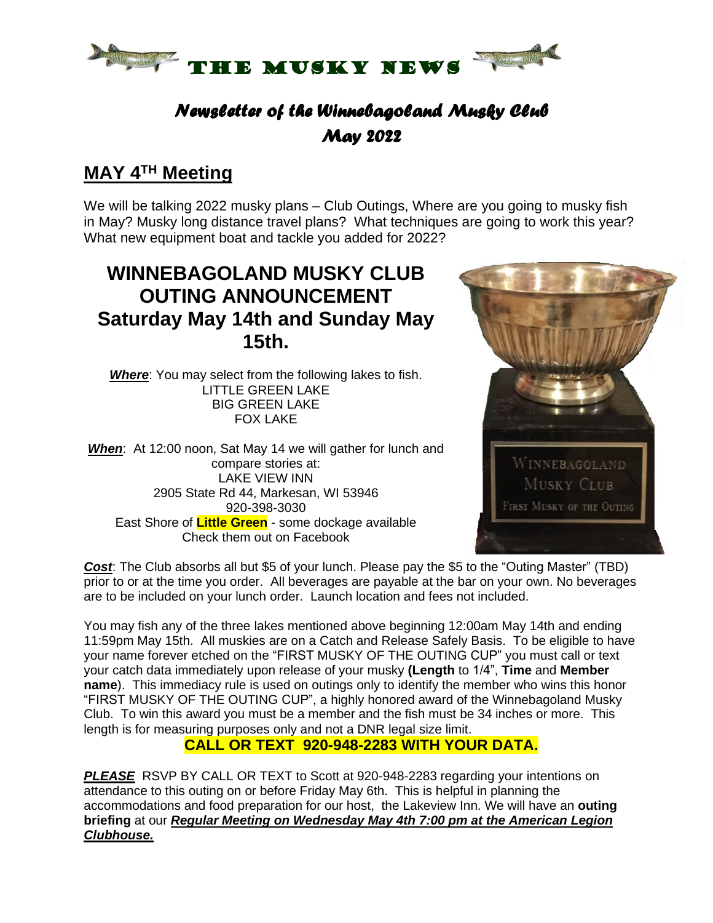

# *Newsletter of the Winnebagoland Musky Club May 2022*

### **MAY 4 TH Meeting**

We will be talking 2022 musky plans – Club Outings, Where are you going to musky fish in May? Musky long distance travel plans? What techniques are going to work this year? What new equipment boat and tackle you added for 2022?

# **WINNEBAGOLAND MUSKY CLUB OUTING ANNOUNCEMENT Saturday May 14th and Sunday May 15th.**

*Where*: You may select from the following lakes to fish. LITTLE GREEN LAKE BIG GREEN LAKE FOX LAKE

*When*: At 12:00 noon, Sat May 14 we will gather for lunch and compare stories at: LAKE VIEW INN 2905 State Rd 44, Markesan, WI 53946 920-398-3030 East Shore of **Little Green** - some dockage available Check them out on Facebook



*Cost*: The Club absorbs all but \$5 of your lunch. Please pay the \$5 to the "Outing Master" (TBD) prior to or at the time you order. All beverages are payable at the bar on your own. No beverages are to be included on your lunch order. Launch location and fees not included.

You may fish any of the three lakes mentioned above beginning 12:00am May 14th and ending 11:59pm May 15th. All muskies are on a Catch and Release Safely Basis. To be eligible to have your name forever etched on the "FIRST MUSKY OF THE OUTING CUP" you must call or text your catch data immediately upon release of your musky **(Length** to 1/4", **Time** and **Member name**). This immediacy rule is used on outings only to identify the member who wins this honor "FIRST MUSKY OF THE OUTING CUP", a highly honored award of the Winnebagoland Musky Club. To win this award you must be a member and the fish must be 34 inches or more. This length is for measuring purposes only and not a DNR legal size limit.

### **CALL OR TEXT 920-948-2283 WITH YOUR DATA.**

**PLEASE** RSVP BY CALL OR TEXT to Scott at 920-948-2283 regarding your intentions on attendance to this outing on or before Friday May 6th. This is helpful in planning the accommodations and food preparation for our host, the Lakeview Inn. We will have an **outing briefing** at our *Regular Meeting on Wednesday May 4th 7:00 pm at the American Legion Clubhouse.*